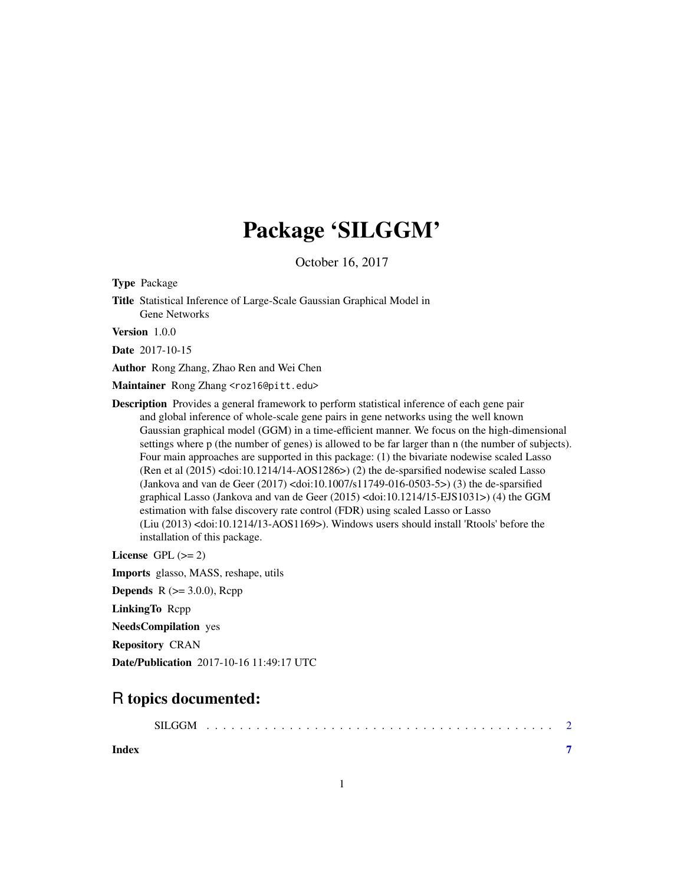# Package 'SILGGM'

October 16, 2017

<span id="page-0-0"></span>Type Package

Title Statistical Inference of Large-Scale Gaussian Graphical Model in Gene Networks

Version 1.0.0

Date 2017-10-15

Author Rong Zhang, Zhao Ren and Wei Chen

Maintainer Rong Zhang <roz16@pitt.edu>

Description Provides a general framework to perform statistical inference of each gene pair and global inference of whole-scale gene pairs in gene networks using the well known Gaussian graphical model (GGM) in a time-efficient manner. We focus on the high-dimensional settings where p (the number of genes) is allowed to be far larger than n (the number of subjects). Four main approaches are supported in this package: (1) the bivariate nodewise scaled Lasso (Ren et al (2015) <doi:10.1214/14-AOS1286>) (2) the de-sparsified nodewise scaled Lasso (Jankova and van de Geer (2017) <doi:10.1007/s11749-016-0503-5>) (3) the de-sparsified graphical Lasso (Jankova and van de Geer (2015) <doi:10.1214/15-EJS1031>) (4) the GGM estimation with false discovery rate control (FDR) using scaled Lasso or Lasso (Liu (2013) <doi:10.1214/13-AOS1169>). Windows users should install 'Rtools' before the installation of this package.

License GPL  $(>= 2)$ 

Imports glasso, MASS, reshape, utils

**Depends** R  $(>= 3.0.0)$ , Rcpp

LinkingTo Rcpp

NeedsCompilation yes

Repository CRAN

Date/Publication 2017-10-16 11:49:17 UTC

# R topics documented:

|       | <b>SILGGM</b> |  |  |  |  |  |  |  |  |  |  |  |  |  |  |
|-------|---------------|--|--|--|--|--|--|--|--|--|--|--|--|--|--|
| Index |               |  |  |  |  |  |  |  |  |  |  |  |  |  |  |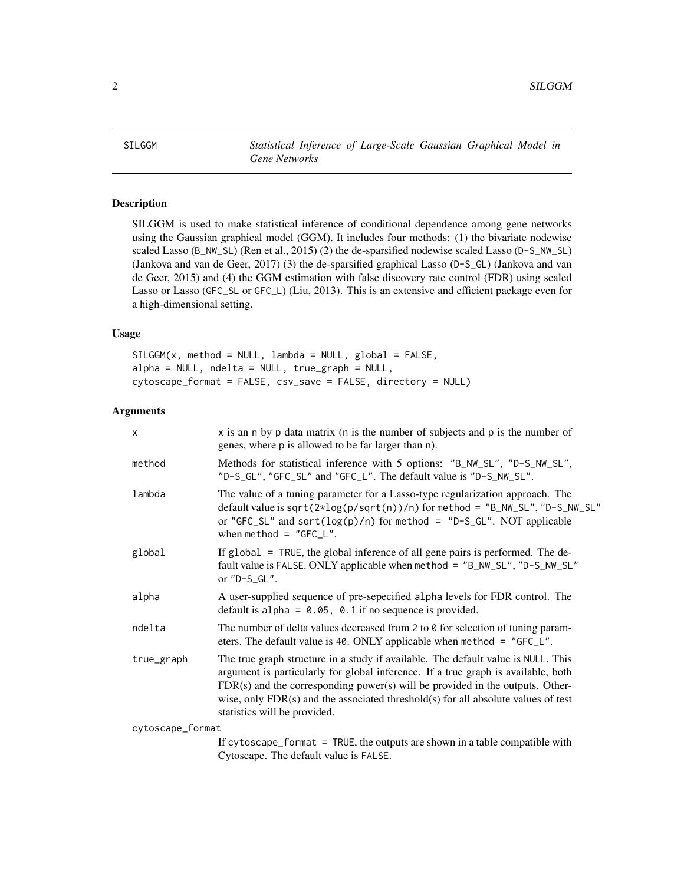<span id="page-1-0"></span>SILGGM *Statistical Inference of Large-Scale Gaussian Graphical Model in Gene Networks*

# Description

SILGGM is used to make statistical inference of conditional dependence among gene networks using the Gaussian graphical model (GGM). It includes four methods: (1) the bivariate nodewise scaled Lasso (B\_NW\_SL) (Ren et al., 2015) (2) the de-sparsified nodewise scaled Lasso (D-S\_NW\_SL) (Jankova and van de Geer, 2017) (3) the de-sparsified graphical Lasso (D-S\_GL) (Jankova and van de Geer, 2015) and (4) the GGM estimation with false discovery rate control (FDR) using scaled Lasso or Lasso (GFC\_SL or GFC\_L) (Liu, 2013). This is an extensive and efficient package even for a high-dimensional setting.

### Usage

 $SILGGM(x, method = NULL, lambda = NULL, global = FALSE,$ alpha = NULL, ndelta = NULL, true\_graph = NULL, cytoscape\_format = FALSE, csv\_save = FALSE, directory = NULL)

# Arguments

| $\mathsf{x}$     | x is an n by p data matrix (n is the number of subjects and p is the number of<br>genes, where p is allowed to be far larger than n).                                                                                                                                                                                                                                               |
|------------------|-------------------------------------------------------------------------------------------------------------------------------------------------------------------------------------------------------------------------------------------------------------------------------------------------------------------------------------------------------------------------------------|
| method           | Methods for statistical inference with 5 options: "B_NW_SL", "D-S_NW_SL",<br>"D-S_GL", "GFC_SL" and "GFC_L". The default value is "D-S_NW_SL".                                                                                                                                                                                                                                      |
| lambda           | The value of a tuning parameter for a Lasso-type regularization approach. The<br>default value is sqrt( $2*log(p/sqrt(n))/n$ ) for method = "B_NW_SL", "D-S_NW_SL"<br>or "GFC_SL" and sqrt( $log(p)/n$ ) for method = "D-S_GL". NOT applicable<br>when method = $"GFC_L"$ .                                                                                                         |
| global           | If global = TRUE, the global inference of all gene pairs is performed. The de-<br>fault value is FALSE. ONLY applicable when method = "B_NW_SL", "D-S_NW_SL"<br>or $"D-S_GL".$                                                                                                                                                                                                      |
| alpha            | A user-supplied sequence of pre-sepecified alpha levels for FDR control. The<br>default is alpha = $0.05$ , 0.1 if no sequence is provided.                                                                                                                                                                                                                                         |
| ndelta           | The number of delta values decreased from 2 to 0 for selection of tuning param-<br>eters. The default value is 40. ONLY applicable when method = " $GFC_L$ ".                                                                                                                                                                                                                       |
| true_graph       | The true graph structure in a study if available. The default value is NULL. This<br>argument is particularly for global inference. If a true graph is available, both<br>$FDR(s)$ and the corresponding power(s) will be provided in the outputs. Other-<br>wise, only $FDR(s)$ and the associated threshold $(s)$ for all absolute values of test<br>statistics will be provided. |
| cytoscape_format |                                                                                                                                                                                                                                                                                                                                                                                     |
|                  | If cytoscape_format = TRUE, the outputs are shown in a table compatible with                                                                                                                                                                                                                                                                                                        |

Cytoscape. The default value is FALSE.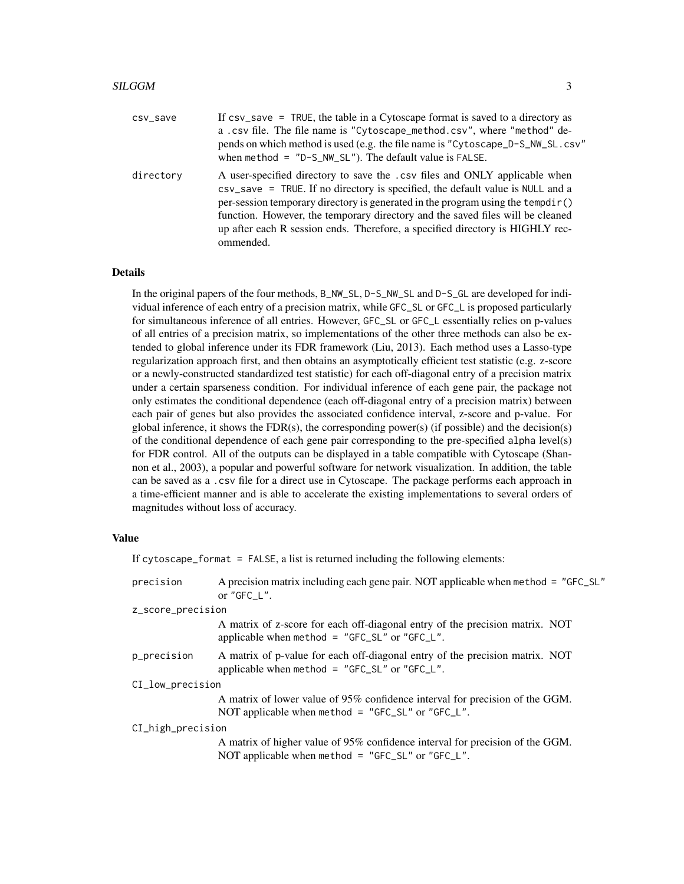| csv_save  | If $\text{csv}_\text{2}$ save = TRUE, the table in a Cytoscape format is saved to a directory as<br>a.csv file. The file name is "Cytoscape_method.csv", where "method" de-<br>pends on which method is used (e.g. the file name is "Cytoscape_D-S_NW_SL.csv"<br>when method = $"D-S_NW_SL"$ . The default value is FALSE.                                                                                                      |
|-----------|---------------------------------------------------------------------------------------------------------------------------------------------------------------------------------------------------------------------------------------------------------------------------------------------------------------------------------------------------------------------------------------------------------------------------------|
| directory | A user-specified directory to save the .csv files and ONLY applicable when<br>csv_save = TRUE. If no directory is specified, the default value is NULL and a<br>per-session temporary directory is generated in the program using the tempdir()<br>function. However, the temporary directory and the saved files will be cleaned<br>up after each R session ends. Therefore, a specified directory is HIGHLY rec-<br>ommended. |

# Details

In the original papers of the four methods, B\_NW\_SL, D-S\_NW\_SL and D-S\_GL are developed for individual inference of each entry of a precision matrix, while GFC\_SL or GFC\_L is proposed particularly for simultaneous inference of all entries. However, GFC\_SL or GFC\_L essentially relies on p-values of all entries of a precision matrix, so implementations of the other three methods can also be extended to global inference under its FDR framework (Liu, 2013). Each method uses a Lasso-type regularization approach first, and then obtains an asymptotically efficient test statistic (e.g. z-score or a newly-constructed standardized test statistic) for each off-diagonal entry of a precision matrix under a certain sparseness condition. For individual inference of each gene pair, the package not only estimates the conditional dependence (each off-diagonal entry of a precision matrix) between each pair of genes but also provides the associated confidence interval, z-score and p-value. For global inference, it shows the  $FDR(s)$ , the corresponding power(s) (if possible) and the decision(s) of the conditional dependence of each gene pair corresponding to the pre-specified alpha level(s) for FDR control. All of the outputs can be displayed in a table compatible with Cytoscape (Shannon et al., 2003), a popular and powerful software for network visualization. In addition, the table can be saved as a .csv file for a direct use in Cytoscape. The package performs each approach in a time-efficient manner and is able to accelerate the existing implementations to several orders of magnitudes without loss of accuracy.

# Value

|                   | If cytoscape_format = $FALSE$ , a list is returned including the following elements:                                                       |  |  |  |  |  |
|-------------------|--------------------------------------------------------------------------------------------------------------------------------------------|--|--|--|--|--|
| precision         | A precision matrix including each gene pair. NOT applicable when method = "GFC_SL"<br>or "GFC $L$ ".                                       |  |  |  |  |  |
| z_score_precision |                                                                                                                                            |  |  |  |  |  |
|                   | A matrix of z-score for each off-diagonal entry of the precision matrix. NOT<br>applicable when method = $"GFC_SL"$ or $"GFC_L".$          |  |  |  |  |  |
| p_precision       | A matrix of p-value for each off-diagonal entry of the precision matrix. NOT<br>applicable when method = " $GFC_SL$ " or " $GFC_L$ ".      |  |  |  |  |  |
| CI_low_precision  |                                                                                                                                            |  |  |  |  |  |
|                   | A matrix of lower value of 95% confidence interval for precision of the GGM.<br>NOT applicable when method = " $GFC_SL''$ or " $GFC_L''$ . |  |  |  |  |  |
| CI_high_precision |                                                                                                                                            |  |  |  |  |  |
|                   | A matrix of higher value of 95% confidence interval for precision of the GGM.<br>NOT applicable when method = "GFC_SL" or "GFC_L".         |  |  |  |  |  |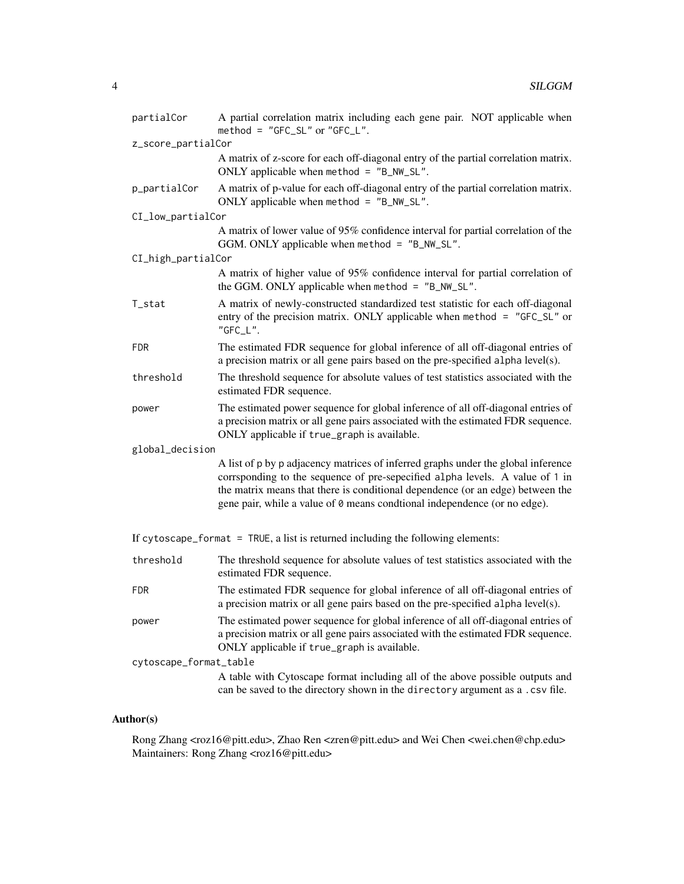| partialCor                                                                                                                           | A partial correlation matrix including each gene pair. NOT applicable when<br>method = "GFC_SL" or "GFC_L".                                                                                                                                                                                                                      |  |  |  |  |  |  |  |
|--------------------------------------------------------------------------------------------------------------------------------------|----------------------------------------------------------------------------------------------------------------------------------------------------------------------------------------------------------------------------------------------------------------------------------------------------------------------------------|--|--|--|--|--|--|--|
| z_score_partialCor                                                                                                                   |                                                                                                                                                                                                                                                                                                                                  |  |  |  |  |  |  |  |
|                                                                                                                                      | A matrix of z-score for each off-diagonal entry of the partial correlation matrix.<br>ONLY applicable when method = $"B_NW_SL".$                                                                                                                                                                                                 |  |  |  |  |  |  |  |
| p_partialCor                                                                                                                         | A matrix of p-value for each off-diagonal entry of the partial correlation matrix.<br>ONLY applicable when method = "B_NW_SL".                                                                                                                                                                                                   |  |  |  |  |  |  |  |
| CI_low_partialCor                                                                                                                    |                                                                                                                                                                                                                                                                                                                                  |  |  |  |  |  |  |  |
| A matrix of lower value of 95% confidence interval for partial correlation of the<br>GGM. ONLY applicable when method = $"B_NW_SL".$ |                                                                                                                                                                                                                                                                                                                                  |  |  |  |  |  |  |  |
| CI_high_partialCor                                                                                                                   |                                                                                                                                                                                                                                                                                                                                  |  |  |  |  |  |  |  |
|                                                                                                                                      | A matrix of higher value of 95% confidence interval for partial correlation of<br>the GGM. ONLY applicable when method = "B_NW_SL".                                                                                                                                                                                              |  |  |  |  |  |  |  |
| T_stat                                                                                                                               | A matrix of newly-constructed standardized test statistic for each off-diagonal<br>entry of the precision matrix. ONLY applicable when method = "GFC_SL" or<br>"GFC_L".                                                                                                                                                          |  |  |  |  |  |  |  |
| <b>FDR</b>                                                                                                                           | The estimated FDR sequence for global inference of all off-diagonal entries of<br>a precision matrix or all gene pairs based on the pre-specified alpha level(s).                                                                                                                                                                |  |  |  |  |  |  |  |
| threshold                                                                                                                            | The threshold sequence for absolute values of test statistics associated with the<br>estimated FDR sequence.                                                                                                                                                                                                                     |  |  |  |  |  |  |  |
| power                                                                                                                                | The estimated power sequence for global inference of all off-diagonal entries of<br>a precision matrix or all gene pairs associated with the estimated FDR sequence.<br>ONLY applicable if true_graph is available.                                                                                                              |  |  |  |  |  |  |  |
| global_decision                                                                                                                      |                                                                                                                                                                                                                                                                                                                                  |  |  |  |  |  |  |  |
|                                                                                                                                      | A list of p by p adjacency matrices of inferred graphs under the global inference<br>corrsponding to the sequence of pre-sepecified alpha levels. A value of 1 in<br>the matrix means that there is conditional dependence (or an edge) between the<br>gene pair, while a value of 0 means condtional independence (or no edge). |  |  |  |  |  |  |  |
| If cytoscape_format = TRUE, a list is returned including the following elements:                                                     |                                                                                                                                                                                                                                                                                                                                  |  |  |  |  |  |  |  |
| threshold                                                                                                                            | The threshold sequence for absolute values of test statistics associated with the<br>estimated FDR sequence.                                                                                                                                                                                                                     |  |  |  |  |  |  |  |
| <b>FDR</b>                                                                                                                           | The estimated FDR sequence for global inference of all off-diagonal entries of<br>a precision matrix or all gene pairs based on the pre-specified alpha level(s).                                                                                                                                                                |  |  |  |  |  |  |  |
| power                                                                                                                                | The estimated power sequence for global inference of all off-diagonal entries of<br>a precision matrix or all gene pairs associated with the estimated FDR sequence.<br>ONLY applicable if true_graph is available.                                                                                                              |  |  |  |  |  |  |  |
| cytoscape_format_table                                                                                                               |                                                                                                                                                                                                                                                                                                                                  |  |  |  |  |  |  |  |
|                                                                                                                                      | A table with Cytoscape format including all of the above possible outputs and<br>can be saved to the directory shown in the directory argument as a .csv file.                                                                                                                                                                   |  |  |  |  |  |  |  |

# Author(s)

Rong Zhang <roz16@pitt.edu>, Zhao Ren <zren@pitt.edu> and Wei Chen <wei.chen@chp.edu> Maintainers: Rong Zhang <roz16@pitt.edu>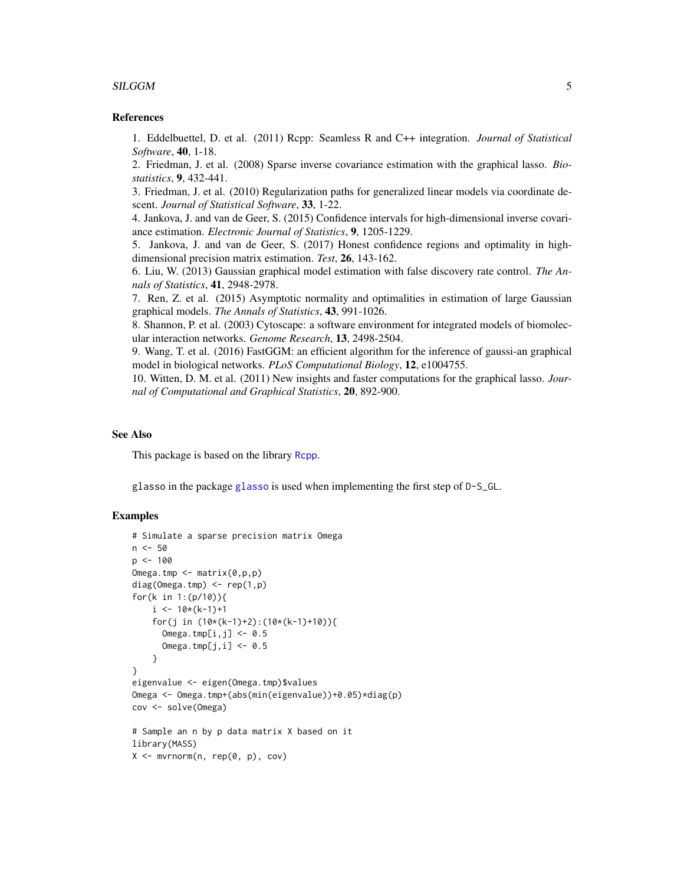#### <span id="page-4-0"></span> $SLGGM$  5

# References

1. Eddelbuettel, D. et al. (2011) Rcpp: Seamless R and C++ integration. *Journal of Statistical Software*, 40, 1-18.

2. Friedman, J. et al. (2008) Sparse inverse covariance estimation with the graphical lasso. *Biostatistics*, 9, 432-441.

3. Friedman, J. et al. (2010) Regularization paths for generalized linear models via coordinate descent. *Journal of Statistical Software*, 33, 1-22.

4. Jankova, J. and van de Geer, S. (2015) Confidence intervals for high-dimensional inverse covariance estimation. *Electronic Journal of Statistics*, 9, 1205-1229.

5. Jankova, J. and van de Geer, S. (2017) Honest confidence regions and optimality in highdimensional precision matrix estimation. *Test*, 26, 143-162.

6. Liu, W. (2013) Gaussian graphical model estimation with false discovery rate control. *The Annals of Statistics*, 41, 2948-2978.

7. Ren, Z. et al. (2015) Asymptotic normality and optimalities in estimation of large Gaussian graphical models. *The Annals of Statistics*, 43, 991-1026.

8. Shannon, P. et al. (2003) Cytoscape: a software environment for integrated models of biomolecular interaction networks. *Genome Research*, 13, 2498-2504.

9. Wang, T. et al. (2016) FastGGM: an efficient algorithm for the inference of gaussi-an graphical model in biological networks. *PLoS Computational Biology*, 12, e1004755.

10. Witten, D. M. et al. (2011) New insights and faster computations for the graphical lasso. *Journal of Computational and Graphical Statistics*, 20, 892-900.

# See Also

This package is based on the library [Rcpp](#page-0-0).

glasso in the package [glasso](#page-0-0) is used when implementing the first step of D-S\_GL.

# Examples

```
# Simulate a sparse precision matrix Omega
n <- 50
p \le -100Omega.tmp <- matrix(0,p,p)
diag(Omega.tmp) <- rep(1,p)
for(k in 1:(p/10)){
    i \leq 10*(k-1)+1for(j in (10*(k-1)+2):(10*(k-1)+10)){
      Omega.tmp[i, j] <- 0.5
      Omega.tmp[j,i] <- 0.5
    }
}
eigenvalue <- eigen(Omega.tmp)$values
Omega <- Omega.tmp+(abs(min(eigenvalue))+0.05)*diag(p)
cov <- solve(Omega)
# Sample an n by p data matrix X based on it
library(MASS)
X <- mvrnorm(n, rep(0, p), cov)
```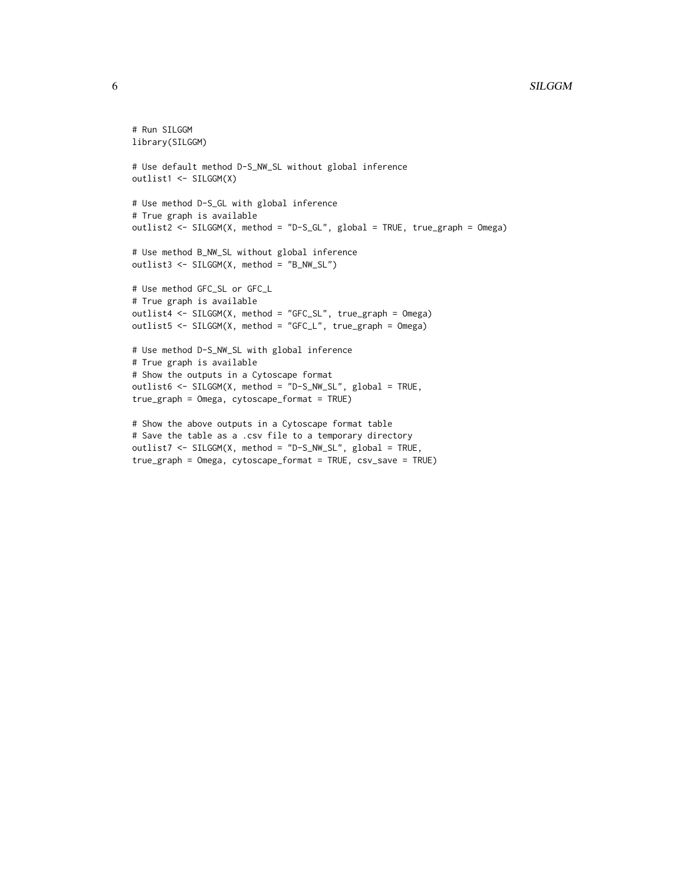#### 6 SILGGM

```
# Run SILGGM
library(SILGGM)
# Use default method D-S_NW_SL without global inference
outlist1 <- SILGGM(X)
# Use method D-S_GL with global inference
# True graph is available
outlist2 <- SILGGM(X, method = "D-S_GL", global = TRUE, true_graph = Omega)
# Use method B_NW_SL without global inference
outlist3 <- SILGGM(X, method = "B_NW_SL")
# Use method GFC_SL or GFC_L
# True graph is available
outlist4 <- SILGGM(X, method = "GFC_SL", true_graph = Omega)
outlist5 <- SILGGM(X, method = "GFC_L", true_graph = Omega)
# Use method D-S_NW_SL with global inference
# True graph is available
# Show the outputs in a Cytoscape format
outlist6 <- SILGGM(X, method = "D-S_NW_SL", global = TRUE,
true_graph = Omega, cytoscape_format = TRUE)
# Show the above outputs in a Cytoscape format table
# Save the table as a .csv file to a temporary directory
outlist7 <- SILGGM(X, method = "D-S_NW_SL", global = TRUE,
```

```
true_graph = Omega, cytoscape_format = TRUE, csv_save = TRUE)
```